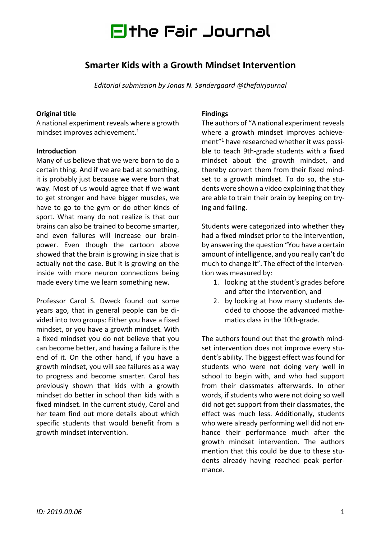

# **Smarter Kids with a Growth Mindset Intervention**

*Editorial submission by Jonas N. Søndergaard @thefairjournal*

### **Original title**

A national experiment reveals where a growth mindset improves achievement. 1

### **Introduction**

Many of us believe that we were born to do a certain thing. And if we are bad at something, it is probably just because we were born that way. Most of us would agree that if we want to get stronger and have bigger muscles, we have to go to the gym or do other kinds of sport. What many do not realize is that our brains can also be trained to become smarter, and even failures will increase our brainpower. Even though the cartoon above showed that the brain is growing in size that is actually not the case. But it is growing on the inside with more neuron connections being made every time we learn something new.

Professor Carol S. Dweck found out some years ago, that in general people can be divided into two groups: Either you have a fixed mindset, or you have a growth mindset. With a fixed mindset you do not believe that you can become better, and having a failure is the end of it. On the other hand, if you have a growth mindset, you will see failures as a way to progress and become smarter. Carol has previously shown that kids with a growth mindset do better in school than kids with a fixed mindset. In the current study, Carol and her team find out more details about which specific students that would benefit from a growth mindset intervention.

#### **Findings**

The authors of "A national experiment reveals where a growth mindset improves achievement"1 have researched whether it was possible to teach 9th-grade students with a fixed mindset about the growth mindset, and thereby convert them from their fixed mindset to a growth mindset. To do so, the students were shown a video explaining that they are able to train their brain by keeping on trying and failing.

Students were categorized into whether they had a fixed mindset prior to the intervention, by answering the question "You have a certain amount of intelligence, and you really can't do much to change it". The effect of the intervention was measured by:

- 1. looking at the student's grades before and after the intervention, and
- 2. by looking at how many students decided to choose the advanced mathematics class in the 10th-grade.

The authors found out that the growth mindset intervention does not improve every student's ability. The biggest effect was found for students who were not doing very well in school to begin with, and who had support from their classmates afterwards. In other words, if students who were not doing so well did not get support from their classmates, the effect was much less. Additionally, students who were already performing well did not enhance their performance much after the growth mindset intervention. The authors mention that this could be due to these students already having reached peak performance.